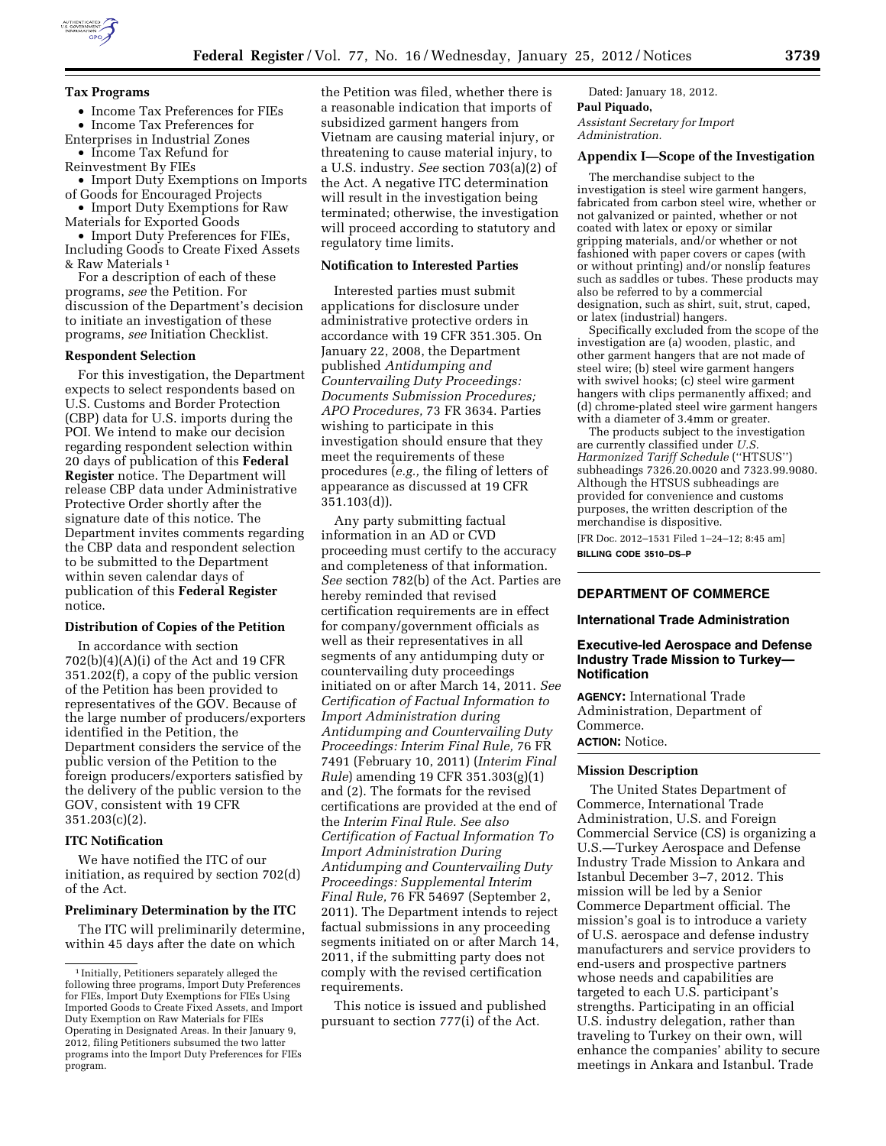

## **Tax Programs**

- Income Tax Preferences for FIEs
- Income Tax Preferences for
- Enterprises in Industrial Zones • Income Tax Refund for
- Reinvestment By FIEs
- Import Duty Exemptions on Imports of Goods for Encouraged Projects
- Import Duty Exemptions for Raw
- Materials for Exported Goods • Import Duty Preferences for FIEs,
- Including Goods to Create Fixed Assets & Raw Materials 1

For a description of each of these programs, *see* the Petition. For discussion of the Department's decision to initiate an investigation of these programs, *see* Initiation Checklist.

### **Respondent Selection**

For this investigation, the Department expects to select respondents based on U.S. Customs and Border Protection (CBP) data for U.S. imports during the POI. We intend to make our decision regarding respondent selection within 20 days of publication of this **Federal Register** notice. The Department will release CBP data under Administrative Protective Order shortly after the signature date of this notice. The Department invites comments regarding the CBP data and respondent selection to be submitted to the Department within seven calendar days of publication of this **Federal Register**  notice.

# **Distribution of Copies of the Petition**

In accordance with section 702(b)(4)(A)(i) of the Act and 19 CFR 351.202(f), a copy of the public version of the Petition has been provided to representatives of the GOV. Because of the large number of producers/exporters identified in the Petition, the Department considers the service of the public version of the Petition to the foreign producers/exporters satisfied by the delivery of the public version to the GOV, consistent with 19 CFR 351.203(c)(2).

### **ITC Notification**

We have notified the ITC of our initiation, as required by section 702(d) of the Act.

#### **Preliminary Determination by the ITC**

The ITC will preliminarily determine, within 45 days after the date on which

the Petition was filed, whether there is a reasonable indication that imports of subsidized garment hangers from Vietnam are causing material injury, or threatening to cause material injury, to a U.S. industry. *See* section 703(a)(2) of the Act. A negative ITC determination will result in the investigation being terminated; otherwise, the investigation will proceed according to statutory and regulatory time limits.

#### **Notification to Interested Parties**

Interested parties must submit applications for disclosure under administrative protective orders in accordance with 19 CFR 351.305. On January 22, 2008, the Department published *Antidumping and Countervailing Duty Proceedings: Documents Submission Procedures; APO Procedures,* 73 FR 3634. Parties wishing to participate in this investigation should ensure that they meet the requirements of these procedures (*e.g.,* the filing of letters of appearance as discussed at 19 CFR 351.103(d)).

Any party submitting factual information in an AD or CVD proceeding must certify to the accuracy and completeness of that information. *See* section 782(b) of the Act. Parties are hereby reminded that revised certification requirements are in effect for company/government officials as well as their representatives in all segments of any antidumping duty or countervailing duty proceedings initiated on or after March 14, 2011. *See Certification of Factual Information to Import Administration during Antidumping and Countervailing Duty Proceedings: Interim Final Rule,* 76 FR 7491 (February 10, 2011) (*Interim Final Rule*) amending 19 CFR 351.303(g)(1) and (2). The formats for the revised certifications are provided at the end of the *Interim Final Rule. See also Certification of Factual Information To Import Administration During Antidumping and Countervailing Duty Proceedings: Supplemental Interim Final Rule,* 76 FR 54697 (September 2, 2011). The Department intends to reject factual submissions in any proceeding segments initiated on or after March 14, 2011, if the submitting party does not comply with the revised certification requirements.

This notice is issued and published pursuant to section 777(i) of the Act.

Dated: January 18, 2012. **Paul Piquado,**  *Assistant Secretary for Import Administration.* 

### **Appendix I—Scope of the Investigation**

The merchandise subject to the investigation is steel wire garment hangers, fabricated from carbon steel wire, whether or not galvanized or painted, whether or not coated with latex or epoxy or similar gripping materials, and/or whether or not fashioned with paper covers or capes (with or without printing) and/or nonslip features such as saddles or tubes. These products may also be referred to by a commercial designation, such as shirt, suit, strut, caped, or latex (industrial) hangers.

Specifically excluded from the scope of the investigation are (a) wooden, plastic, and other garment hangers that are not made of steel wire; (b) steel wire garment hangers with swivel hooks; (c) steel wire garment hangers with clips permanently affixed; and (d) chrome-plated steel wire garment hangers with a diameter of 3.4mm or greater.

The products subject to the investigation are currently classified under *U.S. Harmonized Tariff Schedule* (''HTSUS'') subheadings 7326.20.0020 and 7323.99.9080. Although the HTSUS subheadings are provided for convenience and customs purposes, the written description of the merchandise is dispositive.

[FR Doc. 2012–1531 Filed 1–24–12; 8:45 am] **BILLING CODE 3510–DS–P** 

# **DEPARTMENT OF COMMERCE**

# **International Trade Administration**

## **Executive-led Aerospace and Defense Industry Trade Mission to Turkey— Notification**

**AGENCY:** International Trade Administration, Department of Commerce. **ACTION:** Notice.

### **Mission Description**

The United States Department of Commerce, International Trade Administration, U.S. and Foreign Commercial Service (CS) is organizing a U.S.—Turkey Aerospace and Defense Industry Trade Mission to Ankara and Istanbul December 3–7, 2012. This mission will be led by a Senior Commerce Department official. The mission's goal is to introduce a variety of U.S. aerospace and defense industry manufacturers and service providers to end-users and prospective partners whose needs and capabilities are targeted to each U.S. participant's strengths. Participating in an official U.S. industry delegation, rather than traveling to Turkey on their own, will enhance the companies' ability to secure meetings in Ankara and Istanbul. Trade

<sup>&</sup>lt;sup>1</sup> Initially, Petitioners separately alleged the following three programs, Import Duty Preferences for FIEs, Import Duty Exemptions for FIEs Using Imported Goods to Create Fixed Assets, and Import Duty Exemption on Raw Materials for FIEs Operating in Designated Areas. In their January 9, 2012, filing Petitioners subsumed the two latter programs into the Import Duty Preferences for FIEs program.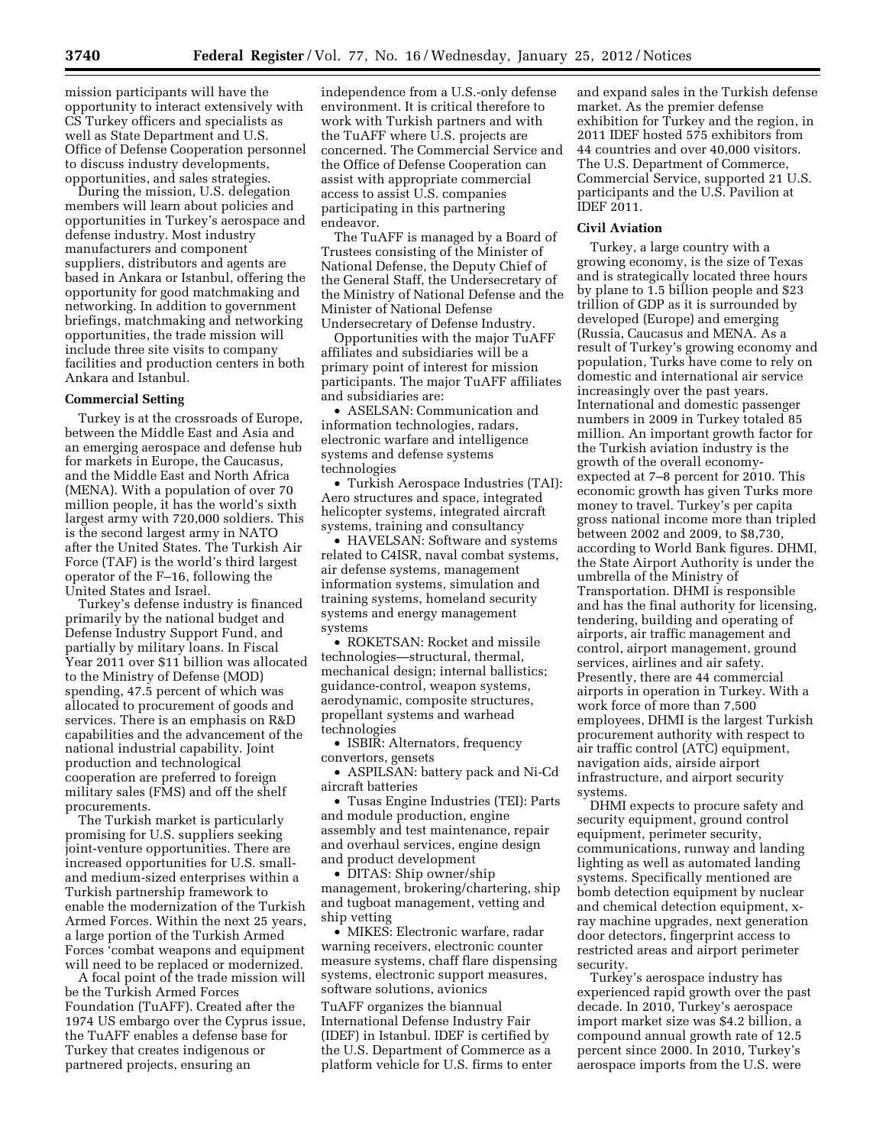mission participants will have the opportunity to interact extensively with CS Turkey officers and specialists as well as State Department and U.S. Office of Defense Cooperation personnel to discuss industry developments, opportunities, and sales strategies.

During the mission, U.S. delegation members will learn about policies and opportunities in Turkey's aerospace and defense industry. Most industry manufacturers and component suppliers, distributors and agents are based in Ankara or Istanbul, offering the opportunity for good matchmaking and networking. In addition to government briefings, matchmaking and networking opportunities, the trade mission will include three site visits to company facilities and production centers in both Ankara and Istanbul.

#### **Commercial Setting**

Turkey is at the crossroads of Europe, between the Middle East and Asia and an emerging aerospace and defense hub for markets in Europe, the Caucasus, and the Middle East and North Africa (MENA). With a population of over 70 million people, it has the world's sixth largest army with 720,000 soldiers. This is the second largest army in NATO after the United States. The Turkish Air Force (TAF) is the world's third largest operator of the F–16, following the United States and Israel.

Turkey's defense industry is financed primarily by the national budget and Defense Industry Support Fund, and partially by military loans. In Fiscal Year 2011 over \$11 billion was allocated to the Ministry of Defense (MOD) spending, 47.5 percent of which was allocated to procurement of goods and services. There is an emphasis on R&D capabilities and the advancement of the national industrial capability. Joint production and technological cooperation are preferred to foreign military sales (FMS) and off the shelf procurements.

The Turkish market is particularly promising for U.S. suppliers seeking joint-venture opportunities. There are increased opportunities for U.S. smalland medium-sized enterprises within a Turkish partnership framework to enable the modernization of the Turkish Armed Forces. Within the next 25 years, a large portion of the Turkish Armed Forces 'combat weapons and equipment will need to be replaced or modernized.

A focal point of the trade mission will be the Turkish Armed Forces Foundation (TuAFF). Created after the 1974 US embargo over the Cyprus issue, the TuAFF enables a defense base for Turkey that creates indigenous or partnered projects, ensuring an

independence from a U.S.-only defense environment. It is critical therefore to work with Turkish partners and with the TuAFF where U.S. projects are concerned. The Commercial Service and the Office of Defense Cooperation can assist with appropriate commercial access to assist U.S. companies participating in this partnering endeavor.

The TuAFF is managed by a Board of Trustees consisting of the Minister of National Defense, the Deputy Chief of the General Staff, the Undersecretary of the Ministry of National Defense and the Minister of National Defense Undersecretary of Defense Industry.

Opportunities with the major TuAFF affiliates and subsidiaries will be a primary point of interest for mission participants. The major TuAFF affiliates and subsidiaries are:

• ASELSAN: Communication and information technologies, radars, electronic warfare and intelligence systems and defense systems technologies

• Turkish Aerospace Industries (TAI): Aero structures and space, integrated helicopter systems, integrated aircraft systems, training and consultancy

• HAVELSAN: Software and systems related to C4ISR, naval combat systems, air defense systems, management information systems, simulation and training systems, homeland security systems and energy management systems

• ROKETSAN: Rocket and missile technologies—structural, thermal, mechanical design; internal ballistics; guidance-control, weapon systems, aerodynamic, composite structures, propellant systems and warhead technologies

• ISBIR: Alternators, frequency convertors, gensets

• ASPILSAN: battery pack and Ni-Cd aircraft batteries

• Tusas Engine Industries (TEI): Parts and module production, engine assembly and test maintenance, repair and overhaul services, engine design and product development

• DITAS: Ship owner/ship management, brokering/chartering, ship and tugboat management, vetting and ship vetting

• MIKES: Electronic warfare, radar warning receivers, electronic counter measure systems, chaff flare dispensing systems, electronic support measures, software solutions, avionics

TuAFF organizes the biannual International Defense Industry Fair (IDEF) in Istanbul. IDEF is certified by the U.S. Department of Commerce as a platform vehicle for U.S. firms to enter and expand sales in the Turkish defense market. As the premier defense exhibition for Turkey and the region, in 2011 IDEF hosted 575 exhibitors from 44 countries and over 40,000 visitors. The U.S. Department of Commerce, Commercial Service, supported 21 U.S. participants and the U.S. Pavilion at IDEF 2011.

# **Civil Aviation**

Turkey, a large country with a growing economy, is the size of Texas and is strategically located three hours by plane to 1.5 billion people and \$23 trillion of GDP as it is surrounded by developed (Europe) and emerging (Russia, Caucasus and MENA. As a result of Turkey's growing economy and population, Turks have come to rely on domestic and international air service increasingly over the past years. International and domestic passenger numbers in 2009 in Turkey totaled 85 million. An important growth factor for the Turkish aviation industry is the growth of the overall economyexpected at 7–8 percent for 2010. This economic growth has given Turks more money to travel. Turkey's per capita gross national income more than tripled between 2002 and 2009, to \$8,730, according to World Bank figures. DHMI, the State Airport Authority is under the umbrella of the Ministry of Transportation. DHMI is responsible and has the final authority for licensing, tendering, building and operating of airports, air traffic management and control, airport management, ground services, airlines and air safety. Presently, there are 44 commercial airports in operation in Turkey. With a work force of more than 7,500 employees, DHMI is the largest Turkish procurement authority with respect to air traffic control (ATC) equipment, navigation aids, airside airport infrastructure, and airport security systems.

DHMI expects to procure safety and security equipment, ground control equipment, perimeter security, communications, runway and landing lighting as well as automated landing systems. Specifically mentioned are bomb detection equipment by nuclear and chemical detection equipment, xray machine upgrades, next generation door detectors, fingerprint access to restricted areas and airport perimeter security.

Turkey's aerospace industry has experienced rapid growth over the past decade. In 2010, Turkey's aerospace import market size was \$4.2 billion, a compound annual growth rate of 12.5 percent since 2000. In 2010, Turkey's aerospace imports from the U.S. were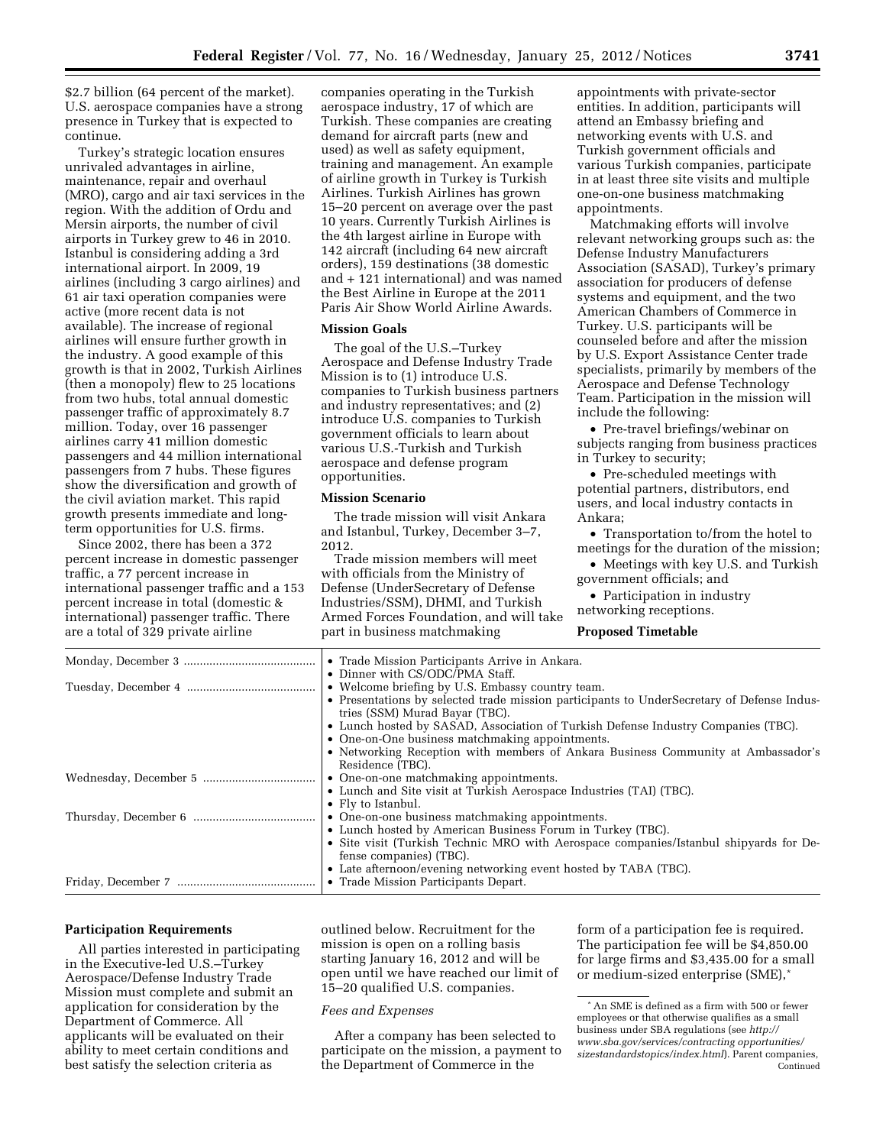\$2.7 billion (64 percent of the market). U.S. aerospace companies have a strong presence in Turkey that is expected to continue.

Turkey's strategic location ensures unrivaled advantages in airline, maintenance, repair and overhaul (MRO), cargo and air taxi services in the region. With the addition of Ordu and Mersin airports, the number of civil airports in Turkey grew to 46 in 2010. Istanbul is considering adding a 3rd international airport. In 2009, 19 airlines (including 3 cargo airlines) and 61 air taxi operation companies were active (more recent data is not available). The increase of regional airlines will ensure further growth in the industry. A good example of this growth is that in 2002, Turkish Airlines (then a monopoly) flew to 25 locations from two hubs, total annual domestic passenger traffic of approximately 8.7 million. Today, over 16 passenger airlines carry 41 million domestic passengers and 44 million international passengers from 7 hubs. These figures show the diversification and growth of the civil aviation market. This rapid growth presents immediate and longterm opportunities for U.S. firms.

Since 2002, there has been a 372 percent increase in domestic passenger traffic, a 77 percent increase in international passenger traffic and a 153 percent increase in total (domestic & international) passenger traffic. There are a total of 329 private airline

companies operating in the Turkish aerospace industry, 17 of which are Turkish. These companies are creating demand for aircraft parts (new and used) as well as safety equipment, training and management. An example of airline growth in Turkey is Turkish Airlines. Turkish Airlines has grown 15–20 percent on average over the past 10 years. Currently Turkish Airlines is the 4th largest airline in Europe with 142 aircraft (including 64 new aircraft orders), 159 destinations (38 domestic and + 121 international) and was named the Best Airline in Europe at the 2011 Paris Air Show World Airline Awards.

#### **Mission Goals**

The goal of the U.S.–Turkey Aerospace and Defense Industry Trade Mission is to (1) introduce U.S. companies to Turkish business partners and industry representatives; and (2) introduce U.S. companies to Turkish government officials to learn about various U.S.-Turkish and Turkish aerospace and defense program opportunities.

## **Mission Scenario**

The trade mission will visit Ankara and Istanbul, Turkey, December 3–7, 2012.

Trade mission members will meet with officials from the Ministry of Defense (UnderSecretary of Defense Industries/SSM), DHMI, and Turkish Armed Forces Foundation, and will take part in business matchmaking

appointments with private-sector entities. In addition, participants will attend an Embassy briefing and networking events with U.S. and Turkish government officials and various Turkish companies, participate in at least three site visits and multiple one-on-one business matchmaking appointments.

Matchmaking efforts will involve relevant networking groups such as: the Defense Industry Manufacturers Association (SASAD), Turkey's primary association for producers of defense systems and equipment, and the two American Chambers of Commerce in Turkey. U.S. participants will be counseled before and after the mission by U.S. Export Assistance Center trade specialists, primarily by members of the Aerospace and Defense Technology Team. Participation in the mission will include the following:

• Pre-travel briefings/webinar on subjects ranging from business practices in Turkey to security;

• Pre-scheduled meetings with potential partners, distributors, end users, and local industry contacts in Ankara;

• Transportation to/from the hotel to meetings for the duration of the mission;

• Meetings with key U.S. and Turkish government officials; and

• Participation in industry networking receptions.

### **Proposed Timetable**

| • Trade Mission Participants Arrive in Ankara.                                             |
|--------------------------------------------------------------------------------------------|
| • Dinner with CS/ODC/PMA Staff.                                                            |
| • Welcome briefing by U.S. Embassy country team.                                           |
| • Presentations by selected trade mission participants to UnderSecretary of Defense Indus- |
| tries (SSM) Murad Bayar (TBC).                                                             |
| • Lunch hosted by SASAD, Association of Turkish Defense Industry Companies (TBC).          |
| • One-on-One business matchmaking appointments.                                            |
| • Networking Reception with members of Ankara Business Community at Ambassador's           |
| Residence (TBC).                                                                           |
| • One-on-one matchmaking appointments.                                                     |
| • Lunch and Site visit at Turkish Aerospace Industries (TAI) (TBC).                        |
| • Fly to Istanbul.                                                                         |
| • One-on-one business matchmaking appointments.                                            |
| • Lunch hosted by American Business Forum in Turkey (TBC).                                 |
| • Site visit (Turkish Technic MRO with Aerospace companies/Istanbul ship ards for De-      |
| fense companies) (TBC).                                                                    |
| • Late afternoon/evening networking event hosted by TABA (TBC).                            |
| • Trade Mission Participants Depart.                                                       |

### **Participation Requirements**

All parties interested in participating in the Executive-led U.S.–Turkey Aerospace/Defense Industry Trade Mission must complete and submit an application for consideration by the Department of Commerce. All applicants will be evaluated on their ability to meet certain conditions and best satisfy the selection criteria as

outlined below. Recruitment for the mission is open on a rolling basis starting January 16, 2012 and will be open until we have reached our limit of 15–20 qualified U.S. companies.

#### *Fees and Expenses*

After a company has been selected to participate on the mission, a payment to the Department of Commerce in the

form of a participation fee is required. The participation fee will be \$4,850.00 for large firms and \$3,435.00 for a small or medium-sized enterprise (SME),\*

<sup>\*</sup>An SME is defined as a firm with 500 or fewer employees or that otherwise qualifies as a small business under SBA regulations (see *[http://](http://www.sba.gov/services/contractingopportunities/sizestandardstopics/index.html)  [www.sba.gov/services/contracting opportunities/](http://www.sba.gov/services/contractingopportunities/sizestandardstopics/index.html)  [sizestandardstopics/index.html](http://www.sba.gov/services/contractingopportunities/sizestandardstopics/index.html)*). Parent companies, Continued